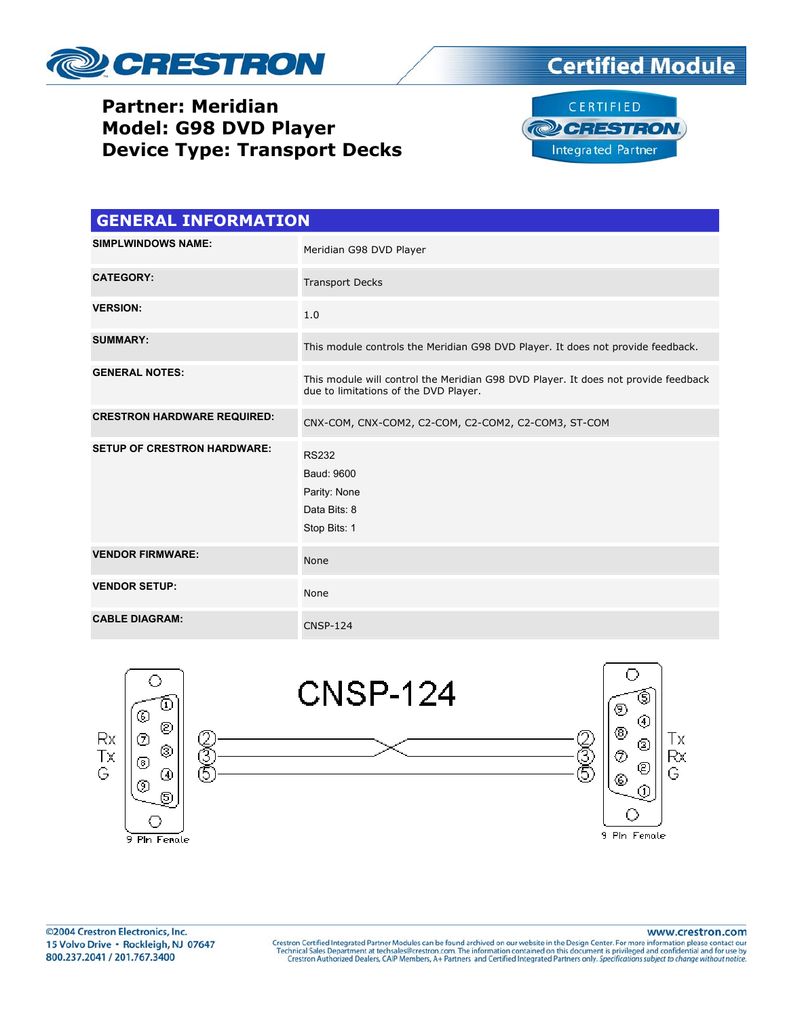

## **Partner: Meridian Model: G98 DVD Player Device Type: Transport Decks**





| <b>GENERAL INFORMATION</b>         |                                                                                                                             |  |  |
|------------------------------------|-----------------------------------------------------------------------------------------------------------------------------|--|--|
| <b>SIMPLWINDOWS NAME:</b>          | Meridian G98 DVD Player                                                                                                     |  |  |
| <b>CATEGORY:</b>                   | <b>Transport Decks</b>                                                                                                      |  |  |
| <b>VERSION:</b>                    | 1.0                                                                                                                         |  |  |
| <b>SUMMARY:</b>                    | This module controls the Meridian G98 DVD Player. It does not provide feedback.                                             |  |  |
| <b>GENERAL NOTES:</b>              | This module will control the Meridian G98 DVD Player. It does not provide feedback<br>due to limitations of the DVD Player. |  |  |
| <b>CRESTRON HARDWARE REQUIRED:</b> | CNX-COM, CNX-COM2, C2-COM, C2-COM2, C2-COM3, ST-COM                                                                         |  |  |
| <b>SETUP OF CRESTRON HARDWARE:</b> | <b>RS232</b><br>Baud: 9600<br>Parity: None<br>Data Bits: 8<br>Stop Bits: 1                                                  |  |  |
| <b>VENDOR FIRMWARE:</b>            | None                                                                                                                        |  |  |
| <b>VENDOR SETUP:</b>               | None                                                                                                                        |  |  |
| <b>CABLE DIAGRAM:</b>              | <b>CNSP-124</b>                                                                                                             |  |  |



www.crestron.com

Crestron Certified Integrated Partner Modules can be found archived on our website in the Design Center. For more information please contact our Technical Sales Department at techsales@crestron.com. The information contain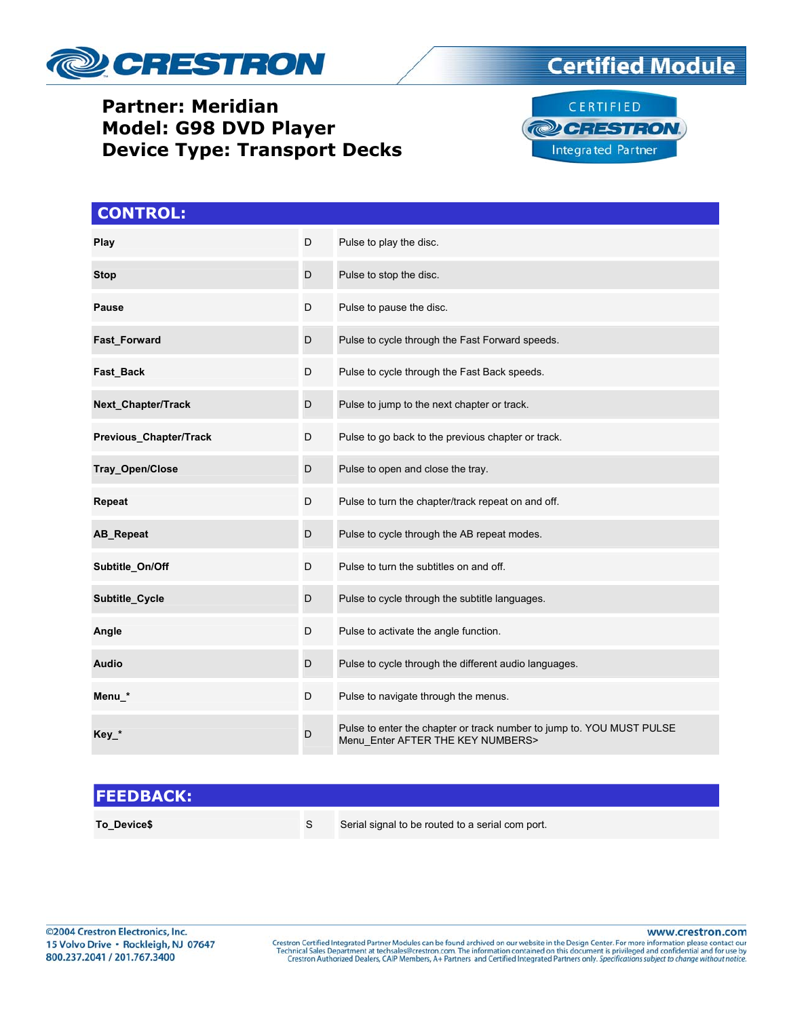

## **Partner: Meridian Model: G98 DVD Player Device Type: Transport Decks**





| <b>CONTROL:</b>        |   |                                                                                                            |
|------------------------|---|------------------------------------------------------------------------------------------------------------|
| Play                   | D | Pulse to play the disc.                                                                                    |
| <b>Stop</b>            | D | Pulse to stop the disc.                                                                                    |
| <b>Pause</b>           | D | Pulse to pause the disc.                                                                                   |
| Fast_Forward           | D | Pulse to cycle through the Fast Forward speeds.                                                            |
| Fast_Back              | D | Pulse to cycle through the Fast Back speeds.                                                               |
| Next_Chapter/Track     | D | Pulse to jump to the next chapter or track.                                                                |
| Previous_Chapter/Track | D | Pulse to go back to the previous chapter or track.                                                         |
| Tray_Open/Close        | D | Pulse to open and close the tray.                                                                          |
| Repeat                 | D | Pulse to turn the chapter/track repeat on and off.                                                         |
| AB_Repeat              | D | Pulse to cycle through the AB repeat modes.                                                                |
| Subtitle_On/Off        | D | Pulse to turn the subtitles on and off.                                                                    |
| Subtitle Cycle         | D | Pulse to cycle through the subtitle languages.                                                             |
| Angle                  | D | Pulse to activate the angle function.                                                                      |
| <b>Audio</b>           | D | Pulse to cycle through the different audio languages.                                                      |
| Menu_*                 | D | Pulse to navigate through the menus.                                                                       |
| $Key_*$                | D | Pulse to enter the chapter or track number to jump to. YOU MUST PULSE<br>Menu_Enter AFTER THE KEY NUMBERS> |

## **FEEDBACK: To\_Device\$ S** Serial signal to be routed to a serial com port.

www.crestron.com

Crestron Certified Integrated Partner Modules can be found archived on our website in the Design Center. For more information please contact our Technical Sales Department at techsales@crestron.com. The information contain